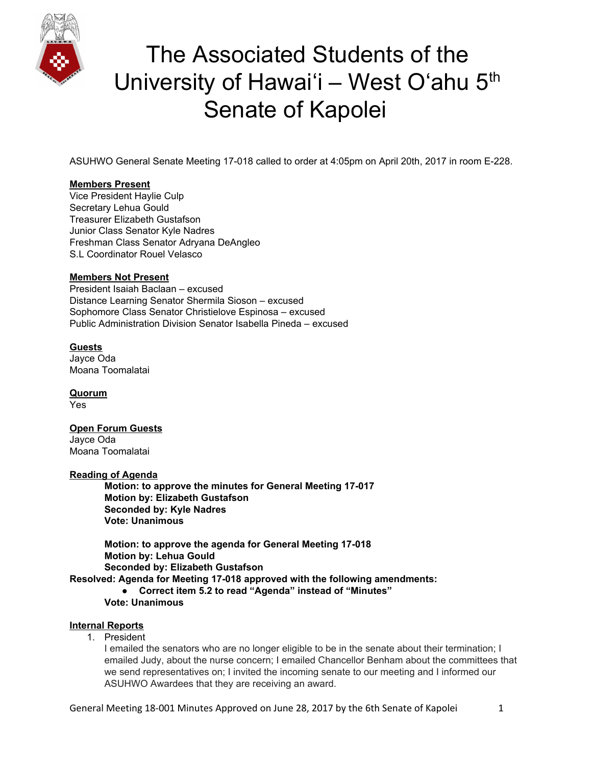

ASUHWO General Senate Meeting 17-018 called to order at 4:05pm on April 20th, 2017 in room E-228.

## **Members Present**

Vice President Haylie Culp Secretary Lehua Gould Treasurer Elizabeth Gustafson Junior Class Senator Kyle Nadres Freshman Class Senator Adryana DeAngleo S.L Coordinator Rouel Velasco

## **Members Not Present**

President Isaiah Baclaan – excused Distance Learning Senator Shermila Sioson – excused Sophomore Class Senator Christielove Espinosa – excused Public Administration Division Senator Isabella Pineda – excused

## **Guests**

Jayce Oda Moana Toomalatai

**Quorum** Yes

## **Open Forum Guests**

Jayce Oda Moana Toomalatai

#### **Reading of Agenda**

**Motion: to approve the minutes for General Meeting 17-017 Motion by: Elizabeth Gustafson Seconded by: Kyle Nadres Vote: Unanimous**

**Motion: to approve the agenda for General Meeting 17-018 Motion by: Lehua Gould Seconded by: Elizabeth Gustafson Resolved: Agenda for Meeting 17-018 approved with the following amendments: ● Correct item 5.2 to read "Agenda" instead of "Minutes" Vote: Unanimous**

## **Internal Reports**

1. President

I emailed the senators who are no longer eligible to be in the senate about their termination; I emailed Judy, about the nurse concern; I emailed Chancellor Benham about the committees that we send representatives on; I invited the incoming senate to our meeting and I informed our ASUHWO Awardees that they are receiving an award.

General Meeting 18-001 Minutes Approved on June 28, 2017 by the 6th Senate of Kapolei 1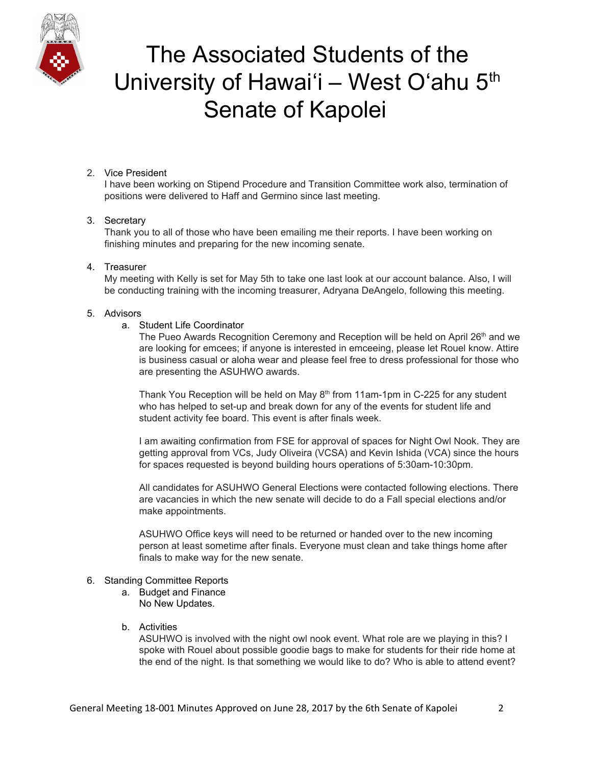

## 2. Vice President

I have been working on Stipend Procedure and Transition Committee work also, termination of positions were delivered to Haff and Germino since last meeting.

## 3. Secretary

Thank you to all of those who have been emailing me their reports. I have been working on finishing minutes and preparing for the new incoming senate.

## 4. Treasurer

My meeting with Kelly is set for May 5th to take one last look at our account balance. Also, I will be conducting training with the incoming treasurer, Adryana DeAngelo, following this meeting.

## 5. Advisors

#### a. Student Life Coordinator

The Pueo Awards Recognition Ceremony and Reception will be held on April 26<sup>th</sup> and we are looking for emcees; if anyone is interested in emceeing, please let Rouel know. Attire is business casual or aloha wear and please feel free to dress professional for those who are presenting the ASUHWO awards.

Thank You Reception will be held on May  $8<sup>th</sup>$  from 11am-1pm in C-225 for any student who has helped to set-up and break down for any of the events for student life and student activity fee board. This event is after finals week.

I am awaiting confirmation from FSE for approval of spaces for Night Owl Nook. They are getting approval from VCs, Judy Oliveira (VCSA) and Kevin Ishida (VCA) since the hours for spaces requested is beyond building hours operations of 5:30am-10:30pm.

All candidates for ASUHWO General Elections were contacted following elections. There are vacancies in which the new senate will decide to do a Fall special elections and/or make appointments.

ASUHWO Office keys will need to be returned or handed over to the new incoming person at least sometime after finals. Everyone must clean and take things home after finals to make way for the new senate.

#### 6. Standing Committee Reports

a. Budget and Finance No New Updates.

## b. Activities

ASUHWO is involved with the night owl nook event. What role are we playing in this? I spoke with Rouel about possible goodie bags to make for students for their ride home at the end of the night. Is that something we would like to do? Who is able to attend event?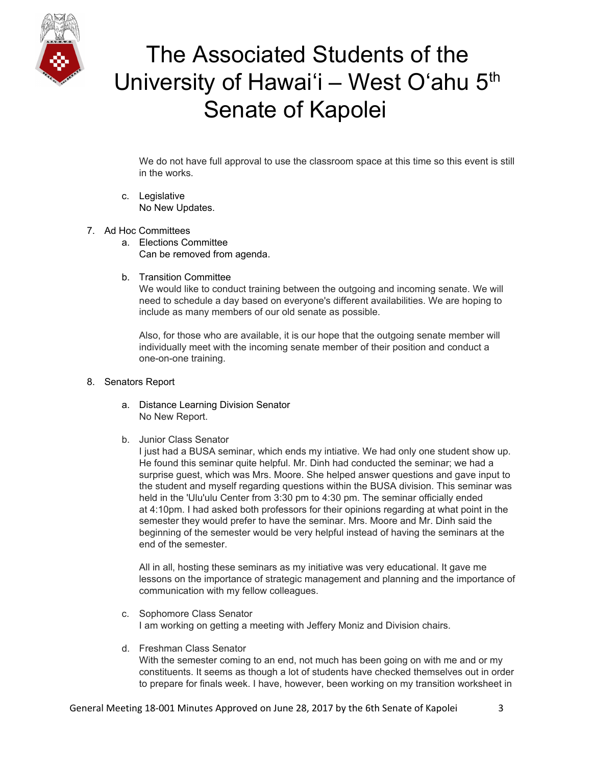

We do not have full approval to use the classroom space at this time so this event is still in the works.

- c. Legislative No New Updates.
- 7. Ad Hoc Committees
	- a. Elections Committee Can be removed from agenda.
	- b. Transition Committee

We would like to conduct training between the outgoing and incoming senate. We will need to schedule a day based on everyone's different availabilities. We are hoping to include as many members of our old senate as possible.

Also, for those who are available, it is our hope that the outgoing senate member will individually meet with the incoming senate member of their position and conduct a one-on-one training.

#### 8. Senators Report

- a. Distance Learning Division Senator No New Report.
- b. Junior Class Senator

I just had a BUSA seminar, which ends my intiative. We had only one student show up. He found this seminar quite helpful. Mr. Dinh had conducted the seminar; we had a surprise guest, which was Mrs. Moore. She helped answer questions and gave input to the student and myself regarding questions within the BUSA division. This seminar was held in the 'Ulu'ulu Center from 3:30 pm to 4:30 pm. The seminar officially ended at 4:10pm. I had asked both professors for their opinions regarding at what point in the semester they would prefer to have the seminar. Mrs. Moore and Mr. Dinh said the beginning of the semester would be very helpful instead of having the seminars at the end of the semester.

All in all, hosting these seminars as my initiative was very educational. It gave me lessons on the importance of strategic management and planning and the importance of communication with my fellow colleagues.

- c. Sophomore Class Senator I am working on getting a meeting with Jeffery Moniz and Division chairs.
- d. Freshman Class Senator

With the semester coming to an end, not much has been going on with me and or my constituents. It seems as though a lot of students have checked themselves out in order to prepare for finals week. I have, however, been working on my transition worksheet in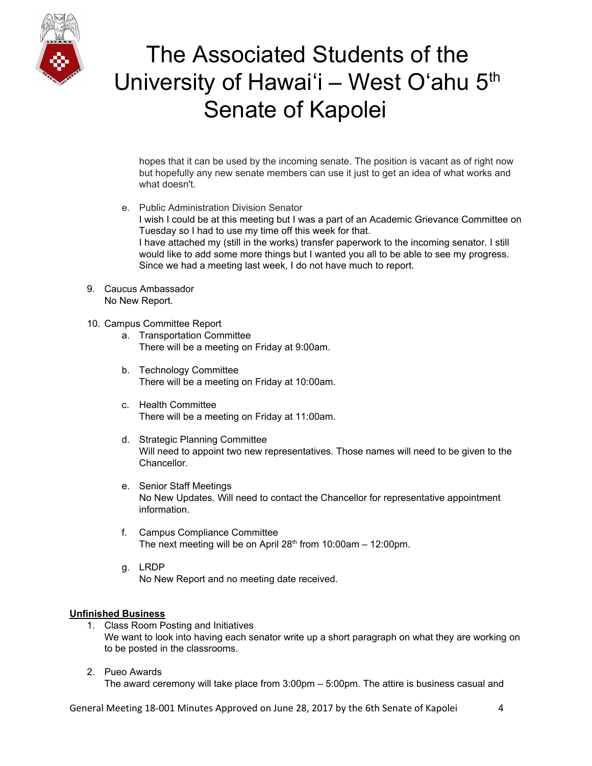

hopes that it can be used by the incoming senate. The position is vacant as of right now but hopefully any new senate members can use it just to get an idea of what works and what doesn't.

- e. Public Administration Division Senator I wish I could be at this meeting but I was a part of an Academic Grievance Committee on Tuesday so I had to use my time off this week for that. I have attached my (still in the works) transfer paperwork to the incoming senator. I still would like to add some more things but I wanted you all to be able to see my progress. Since we had a meeting last week, I do not have much to report.
- 9. Caucus Ambassador No New Report.
- 10. Campus Committee Report
	- a. Transportation Committee There will be a meeting on Friday at 9:00am.
	- b. Technology Committee There will be a meeting on Friday at 10:00am.
	- c. Health Committee There will be a meeting on Friday at 11:00am.
	- d. Strategic Planning Committee Will need to appoint two new representatives. Those names will need to be given to the Chancellor.
	- e. Senior Staff Meetings No New Updates. Will need to contact the Chancellor for representative appointment information.
	- f. Campus Compliance Committee The next meeting will be on April 28<sup>th</sup> from 10:00am - 12:00pm.
	- g. LRDP No New Report and no meeting date received.

## **Unfinished Business**

- 1. Class Room Posting and Initiatives We want to look into having each senator write up a short paragraph on what they are working on to be posted in the classrooms.
- 2. Pueo Awards

The award ceremony will take place from 3:00pm – 5:00pm. The attire is business casual and

General Meeting 18-001 Minutes Approved on June 28, 2017 by the 6th Senate of Kapolei 4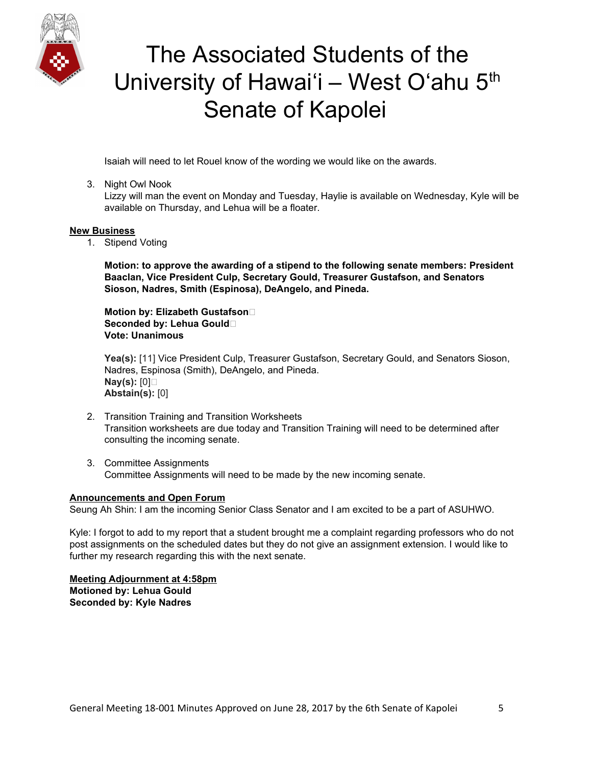

Isaiah will need to let Rouel know of the wording we would like on the awards.

## 3. Night Owl Nook

Lizzy will man the event on Monday and Tuesday, Haylie is available on Wednesday, Kyle will be available on Thursday, and Lehua will be a floater.

#### **New Business**

1. Stipend Voting

**Motion: to approve the awarding of a stipend to the following senate members: President Baaclan, Vice President Culp, Secretary Gould, Treasurer Gustafson, and Senators Sioson, Nadres, Smith (Espinosa), DeAngelo, and Pineda.**

**Motion by: Elizabeth Gustafson Seconded by: Lehua Gould Vote: Unanimous**

**Yea(s):** [11] Vice President Culp, Treasurer Gustafson, Secretary Gould, and Senators Sioson, Nadres, Espinosa (Smith), DeAngelo, and Pineda. **Nay(s):** [0] **Abstain(s):** [0]

- 2. Transition Training and Transition Worksheets Transition worksheets are due today and Transition Training will need to be determined after consulting the incoming senate.
- 3. Committee Assignments Committee Assignments will need to be made by the new incoming senate.

## **Announcements and Open Forum**

Seung Ah Shin: I am the incoming Senior Class Senator and I am excited to be a part of ASUHWO.

Kyle: I forgot to add to my report that a student brought me a complaint regarding professors who do not post assignments on the scheduled dates but they do not give an assignment extension. I would like to further my research regarding this with the next senate.

**Meeting Adjournment at 4:58pm Motioned by: Lehua Gould Seconded by: Kyle Nadres**